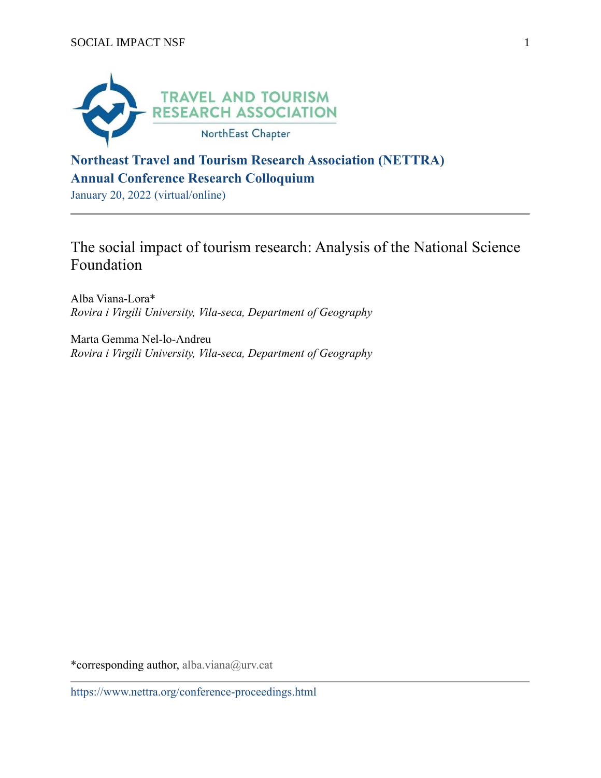

# **Northeast Travel and Tourism Research Association (NETTRA) Annual Conference Research Colloquium**

January 20, 2022 (virtual/online)

# The social impact of tourism research: Analysis of the National Science Foundation

Alba Viana-Lora\* *Rovira i Virgili University, Vila-seca, Department of Geography*

Marta Gemma Nel-lo-Andreu *Rovira i Virgili University, Vila-seca, Department of Geography*

\*corresponding author, alba.viana@urv.cat

https://www.nettra.org/conference-proceedings.html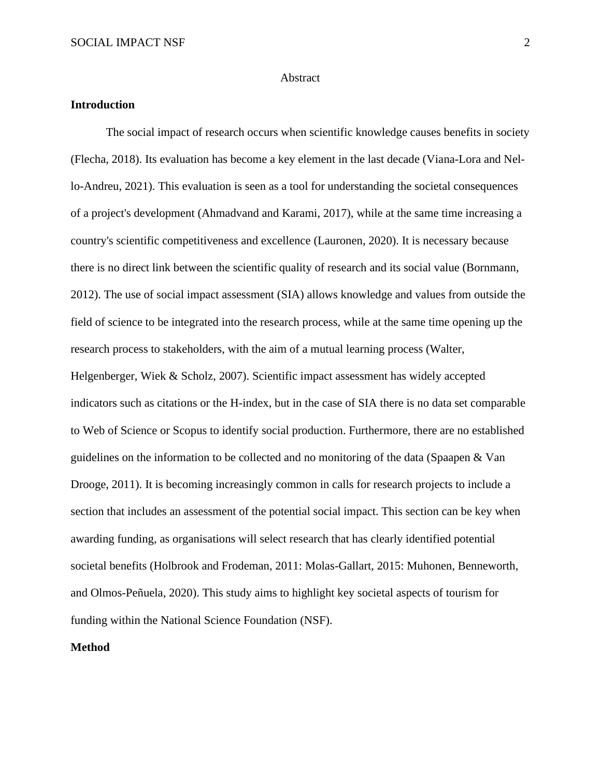### Abstract

# **Introduction**

The social impact of research occurs when scientific knowledge causes benefits in society (Flecha, 2018). Its evaluation has become a key element in the last decade (Viana-Lora and Nello-Andreu, 2021). This evaluation is seen as a tool for understanding the societal consequences of a project's development (Ahmadvand and Karami, 2017), while at the same time increasing a country's scientific competitiveness and excellence (Lauronen, 2020). It is necessary because there is no direct link between the scientific quality of research and its social value (Bornmann, 2012). The use of social impact assessment (SIA) allows knowledge and values from outside the field of science to be integrated into the research process, while at the same time opening up the research process to stakeholders, with the aim of a mutual learning process (Walter, Helgenberger, Wiek & Scholz, 2007). Scientific impact assessment has widely accepted indicators such as citations or the H-index, but in the case of SIA there is no data set comparable to Web of Science or Scopus to identify social production. Furthermore, there are no established guidelines on the information to be collected and no monitoring of the data (Spaapen & Van Drooge, 2011). It is becoming increasingly common in calls for research projects to include a section that includes an assessment of the potential social impact. This section can be key when awarding funding, as organisations will select research that has clearly identified potential societal benefits (Holbrook and Frodeman, 2011: Molas-Gallart, 2015: Muhonen, Benneworth, and Olmos-Peñuela, 2020). This study aims to highlight key societal aspects of tourism for funding within the National Science Foundation (NSF).

# **Method**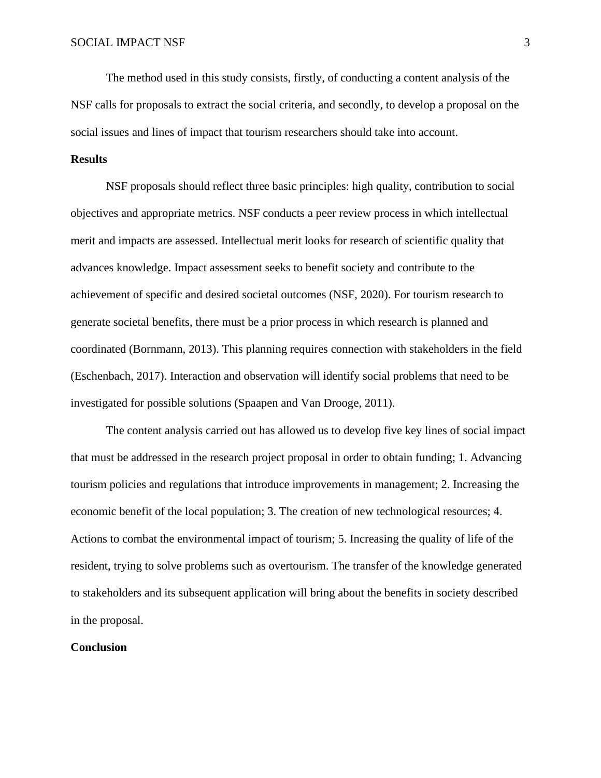The method used in this study consists, firstly, of conducting a content analysis of the NSF calls for proposals to extract the social criteria, and secondly, to develop a proposal on the social issues and lines of impact that tourism researchers should take into account.

## **Results**

NSF proposals should reflect three basic principles: high quality, contribution to social objectives and appropriate metrics. NSF conducts a peer review process in which intellectual merit and impacts are assessed. Intellectual merit looks for research of scientific quality that advances knowledge. Impact assessment seeks to benefit society and contribute to the achievement of specific and desired societal outcomes (NSF, 2020). For tourism research to generate societal benefits, there must be a prior process in which research is planned and coordinated (Bornmann, 2013). This planning requires connection with stakeholders in the field (Eschenbach, 2017). Interaction and observation will identify social problems that need to be investigated for possible solutions (Spaapen and Van Drooge, 2011).

The content analysis carried out has allowed us to develop five key lines of social impact that must be addressed in the research project proposal in order to obtain funding; 1. Advancing tourism policies and regulations that introduce improvements in management; 2. Increasing the economic benefit of the local population; 3. The creation of new technological resources; 4. Actions to combat the environmental impact of tourism; 5. Increasing the quality of life of the resident, trying to solve problems such as overtourism. The transfer of the knowledge generated to stakeholders and its subsequent application will bring about the benefits in society described in the proposal.

### **Conclusion**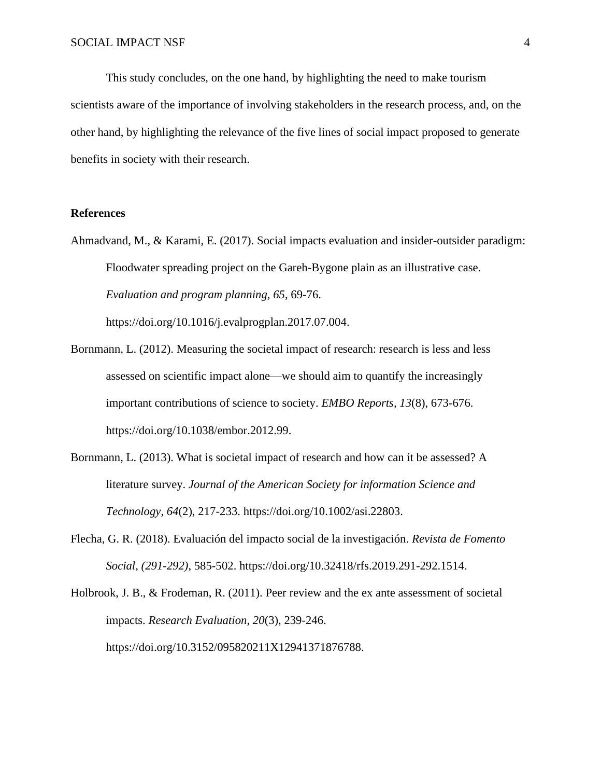This study concludes, on the one hand, by highlighting the need to make tourism scientists aware of the importance of involving stakeholders in the research process, and, on the other hand, by highlighting the relevance of the five lines of social impact proposed to generate benefits in society with their research.

## **References**

Ahmadvand, M., & Karami, E. (2017). Social impacts evaluation and insider-outsider paradigm: Floodwater spreading project on the Gareh-Bygone plain as an illustrative case. *Evaluation and program planning, 65*, 69-76.

https://doi.org/10.1016/j.evalprogplan.2017.07.004.

- Bornmann, L. (2012). Measuring the societal impact of research: research is less and less assessed on scientific impact alone—we should aim to quantify the increasingly important contributions of science to society. *EMBO Reports, 13*(8), 673-676. https://doi.org/10.1038/embor.2012.99.
- Bornmann, L. (2013). What is societal impact of research and how can it be assessed? A literature survey. *Journal of the American Society for information Science and Technology, 64*(2), 217-233. https://doi.org/10.1002/asi.22803.
- Flecha, G. R. (2018). Evaluación del impacto social de la investigación. *Revista de Fomento Social, (291-292)*, 585-502. https://doi.org/10.32418/rfs.2019.291-292.1514.

Holbrook, J. B., & Frodeman, R. (2011). Peer review and the ex ante assessment of societal impacts. *Research Evaluation, 20*(3), 239-246. https://doi.org/10.3152/095820211X12941371876788.